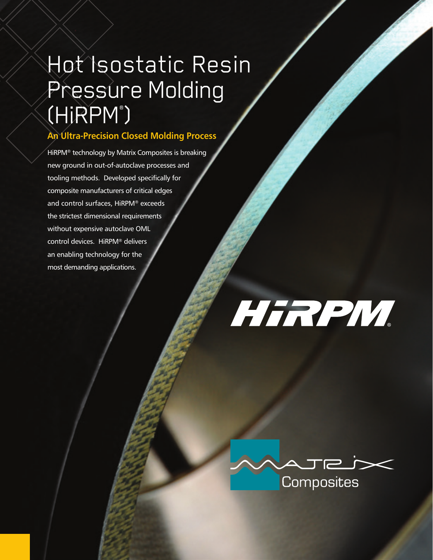## Hot Isostatic Resin Pressure Molding (HiRPM® ) (HiRPM

### **An Ultra-Precision Closed Molding Process**

HiRPM® technology by Matrix Composites is breaking new ground in out-of-autoclave processes and tooling methods. Developed specifically for composite manufacturers of critical edges and control surfaces, HiRPM® exceeds the strictest dimensional requirements without expensive autoclave OML control devices. HiRPM® delivers an enabling technology for the most demanding applications.